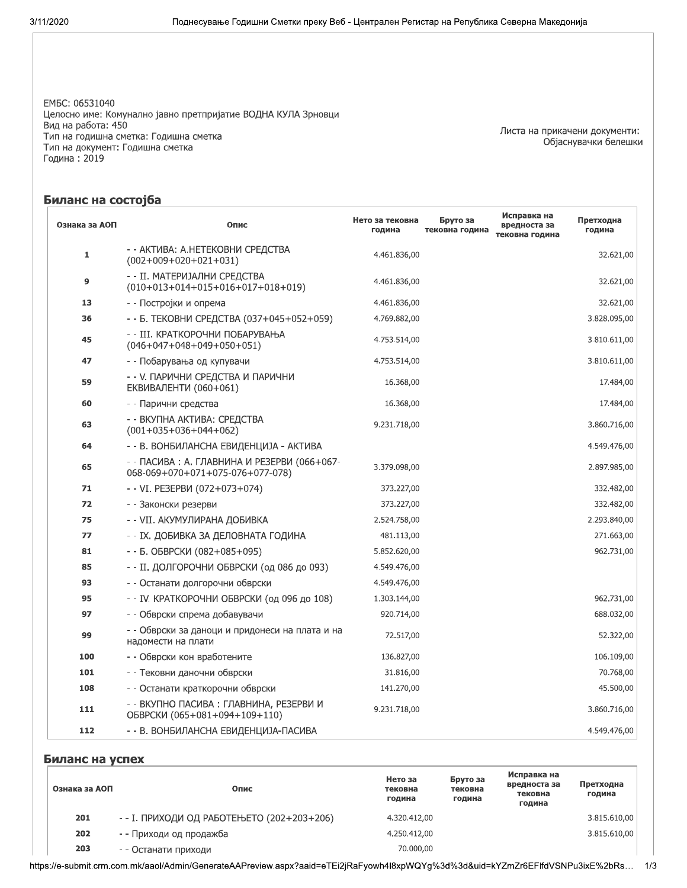EM5C: 06531040 Целосно име: Комунално јавно претпријатие ВОДНА КУЛА Зрновци Вид на работа: 450 Тип на годишна сметка: Годишна сметка Тип на документ: Годишна сметка Година: 2019

Листа на прикачени документи: Објаснувачки белешки

## Биланс на состојба

| Ознака за АОП | Опис                                                                             | Нето за тековна<br>година | Бруто за<br>тековна година | Исправка на<br>вредноста за<br>тековна година | Претходна<br>година |
|---------------|----------------------------------------------------------------------------------|---------------------------|----------------------------|-----------------------------------------------|---------------------|
| 1             | - - АКТИВА: А.НЕТЕКОВНИ СРЕДСТВА<br>$(002+009+020+021+031)$                      | 4.461.836,00              |                            |                                               | 32.621,00           |
| 9             | - - II. МАТЕРИЈАЛНИ СРЕДСТВА<br>$(010+013+014+015+016+017+018+019)$              | 4.461.836,00              |                            |                                               | 32.621,00           |
| 13            | - - Постројки и опрема                                                           | 4.461.836,00              |                            |                                               | 32.621,00           |
| 36            | - - Б. ТЕКОВНИ СРЕДСТВА (037+045+052+059)                                        | 4.769.882,00              |                            |                                               | 3.828.095,00        |
| 45            | - - III. КРАТКОРОЧНИ ПОБАРУВАЊА<br>$(046+047+048+049+050+051)$                   | 4.753.514,00              |                            |                                               | 3.810.611,00        |
| 47            | - - Побарувања од купувачи                                                       | 4.753.514,00              |                            |                                               | 3.810.611,00        |
| 59            | - - У. ПАРИЧНИ СРЕДСТВА И ПАРИЧНИ<br><b>ЕКВИВАЛЕНТИ (060+061)</b>                | 16.368,00                 |                            |                                               | 17.484,00           |
| 60            | - - Парични средства                                                             | 16.368,00                 |                            |                                               | 17.484,00           |
| 63            | - - ВКУПНА АКТИВА: СРЕДСТВА<br>$(001+035+036+044+062)$                           | 9.231.718,00              |                            |                                               | 3.860.716,00        |
| 64            | - - В. ВОНБИЛАНСНА ЕВИДЕНЦИЈА - АКТИВА                                           |                           |                            |                                               | 4.549.476,00        |
| 65            | - - ПАСИВА : А. ГЛАВНИНА И РЕЗЕРВИ (066+067-<br>068-069+070+071+075-076+077-078) | 3.379.098,00              |                            |                                               | 2.897.985,00        |
| 71            | - - VI. PE3EPBИ (072+073+074)                                                    | 373.227,00                |                            |                                               | 332.482,00          |
| 72            | - - Законски резерви                                                             | 373.227,00                |                            |                                               | 332.482,00          |
| 75            | - - VII. АКУМУЛИРАНА ДОБИВКА                                                     | 2.524.758,00              |                            |                                               | 2.293.840,00        |
| 77            | - - ІХ. ДОБИВКА ЗА ДЕЛОВНАТА ГОДИНА                                              | 481.113,00                |                            |                                               | 271.663,00          |
| 81            | - - Б. ОБВРСКИ (082+085+095)                                                     | 5.852.620,00              |                            |                                               | 962.731,00          |
| 85            | - - II. ДОЛГОРОЧНИ ОБВРСКИ (од 086 до 093)                                       | 4.549.476,00              |                            |                                               |                     |
| 93            | - - Останати долгорочни обврски                                                  | 4.549.476,00              |                            |                                               |                     |
| 95            | - - IV. КРАТКОРОЧНИ ОБВРСКИ (од 096 до 108)                                      | 1.303.144,00              |                            |                                               | 962.731,00          |
| 97            | - - Обврски спрема добавувачи                                                    | 920.714,00                |                            |                                               | 688.032,00          |
| 99            | - - Обврски за даноци и придонеси на плата и на<br>надомести на плати            | 72.517,00                 |                            |                                               | 52.322,00           |
| 100           | - - Обврски кон вработените                                                      | 136.827,00                |                            |                                               | 106.109,00          |
| 101           | - - Тековни даночни обврски                                                      | 31.816,00                 |                            |                                               | 70.768,00           |
| 108           | - - Останати краткорочни обврски                                                 | 141.270,00                |                            |                                               | 45.500,00           |
| 111           | - - ВКУПНО ПАСИВА: ГЛАВНИНА, РЕЗЕРВИ И<br>ОБВРСКИ (065+081+094+109+110)          | 9.231.718,00              |                            |                                               | 3.860.716,00        |
| 112           | - - В. ВОНБИЛАНСНА ЕВИДЕНЦИЈА-ПАСИВА                                             |                           |                            |                                               | 4.549.476,00        |

### Биланс на успех

| Ознака за АОП | Опис                                       | Нето за<br>тековна<br>година | Бруто за<br>тековна<br>година | Исправка на<br>вредноста за<br>тековна<br>година | Претходна<br>година |
|---------------|--------------------------------------------|------------------------------|-------------------------------|--------------------------------------------------|---------------------|
| 201           | - - І. ПРИХОДИ ОД РАБОТЕЊЕТО (202+203+206) | 4.320.412,00                 |                               |                                                  | 3.815.610,00        |
| 202           | - - Приходи од продажба                    | 4.250.412,00                 |                               |                                                  | 3.815.610,00        |
| 203           | - - Останати приходи                       | 70,000,00                    |                               |                                                  |                     |

https://e-submit.crm.com.mk/aaol/Admin/GenerateAAPreview.aspx?aaid=eTEi2jRaFyowh4l8xpWQYg%3d%3d&uid=kYZmZr6EFlfdVSNPu3ixE%2bRs... 1/3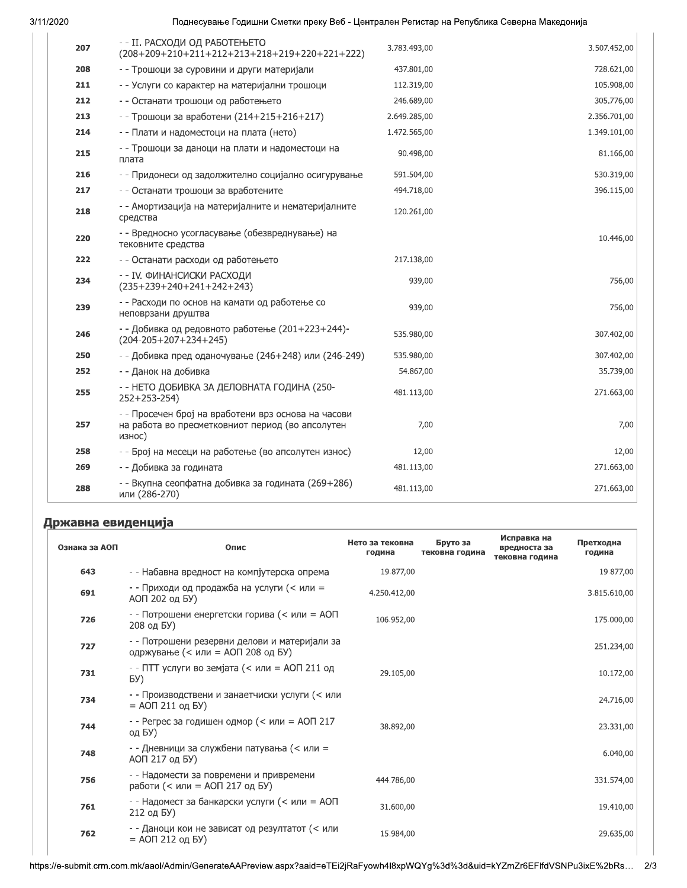3/11/<mark>,</mark>

## тоднесување і одишни сметки преку вео - централен Регистар на Репуолика северна македонија /

| 207 | - - II. РАСХОДИ ОД РАБОТЕЊЕТО<br>$(208+209+210+211+212+213+218+219+220+221+222)$                                  | 3.783.493,00 | 3.507.452,00 |
|-----|-------------------------------------------------------------------------------------------------------------------|--------------|--------------|
| 208 | - - Трошоци за суровини и други материјали                                                                        | 437.801,00   | 728.621,00   |
| 211 | - - Услуги со карактер на материјални трошоци                                                                     | 112.319,00   | 105.908,00   |
| 212 | - - Останати трошоци од работењето                                                                                | 246.689,00   | 305.776,00   |
| 213 | - - Трошоци за вработени (214+215+216+217)                                                                        | 2.649.285,00 | 2.356.701,00 |
| 214 | - - Плати и надоместоци на плата (нето)                                                                           | 1.472.565,00 | 1.349.101,00 |
| 215 | - - Трошоци за даноци на плати и надоместоци на<br>плата                                                          | 90.498,00    | 81.166,00    |
| 216 | - - Придонеси од задолжително социјално осигурување                                                               | 591.504,00   | 530.319,00   |
| 217 | - - Останати трошоци за вработените                                                                               | 494.718,00   | 396.115,00   |
| 218 | - - Амортизација на материјалните и нематеријалните<br>средства                                                   | 120.261,00   |              |
| 220 | - - Вредносно усогласување (обезвреднување) на<br>тековните средства                                              |              | 10.446,00    |
| 222 | - - Останати расходи од работењето                                                                                | 217.138,00   |              |
| 234 | - - IV. ФИНАНСИСКИ РАСХОДИ<br>$(235+239+240+241+242+243)$                                                         | 939,00       | 756,00       |
| 239 | - - Расходи по основ на камати од работење со<br>неповрзани друштва                                               | 939,00       | 756,00       |
| 246 | - - Добивка од редовното работење (201+223+244)-<br>$(204 - 205 + 207 + 234 + 245)$                               | 535.980,00   | 307.402,00   |
| 250 | - - Добивка пред оданочување (246+248) или (246-249)                                                              | 535.980,00   | 307.402,00   |
| 252 | - - Данок на добивка                                                                                              | 54.867,00    | 35.739,00    |
| 255 | - - НЕТО ДОБИВКА ЗА ДЕЛОВНАТА ГОДИНА (250-<br>$252+253-254$                                                       | 481.113,00   | 271.663,00   |
| 257 | - - Просечен број на вработени врз основа на часови<br>на работа во пресметковниот период (во апсолутен<br>износ) | 7,00         | 7,00         |
| 258 | - - Број на месеци на работење (во апсолутен износ)                                                               | 12,00        | 12,00        |
| 269 | - - Добивка за годината                                                                                           | 481.113,00   | 271.663,00   |
| 288 | - - Вкупна сеопфатна добивка за годината (269+286)<br>или (286-270)                                               | 481.113,00   | 271.663,00   |

# Државна евиденција

| Ознака за АОП | Опис                                                                               | Нето за тековна<br>година | Бруто за<br>тековна година | Исправка на<br>вредноста за<br>тековна година | Претходна<br>година |
|---------------|------------------------------------------------------------------------------------|---------------------------|----------------------------|-----------------------------------------------|---------------------|
| 643           | - - Набавна вредност на компјутерска опрема                                        | 19.877,00                 |                            |                                               | 19.877,00           |
| 691           | - - Приходи од продажба на услуги (< или =<br>АОП 202 од БУ)                       | 4.250.412,00              |                            |                                               | 3.815.610,00        |
| 726           | - - Потрошени енергетски горива (< или = АОП<br>208 од БУ)                         | 106.952,00                |                            |                                               | 175.000,00          |
| 727           | - - Потрошени резервни делови и материјали за<br>одржување (< или = АОП 208 од БУ) |                           |                            |                                               | 251.234,00          |
| 731           | - - ПТТ услуги во земјата (< или = АОП 211 од<br>БУ)                               | 29.105,00                 |                            |                                               | 10.172,00           |
| 734           | - - Производствени и занаетчиски услуги (< или<br>$=$ АОП 211 од БУ)               |                           |                            |                                               | 24.716,00           |
| 744           | - - Регрес за годишен одмор (< или = АОП 217<br>од БУ)                             | 38.892,00                 |                            |                                               | 23.331,00           |
| 748           | - - Дневници за службени патувања (< или =<br>АОП 217 од БУ)                       |                           |                            |                                               | 6.040,00            |
| 756           | - - Надомести за повремени и привремени<br>работи (< или = АОП 217 од БУ)          | 444.786,00                |                            |                                               | 331.574,00          |
| 761           | - - Надомест за банкарски услуги (< или = АОП<br>212 од БУ)                        | 31.600,00                 |                            |                                               | 19.410,00           |
| 762           | - - Даноци кои не зависат од резултатот (< или<br>$= AOH 212$ og BY)               | 15.984,00                 |                            |                                               | 29.635,00           |